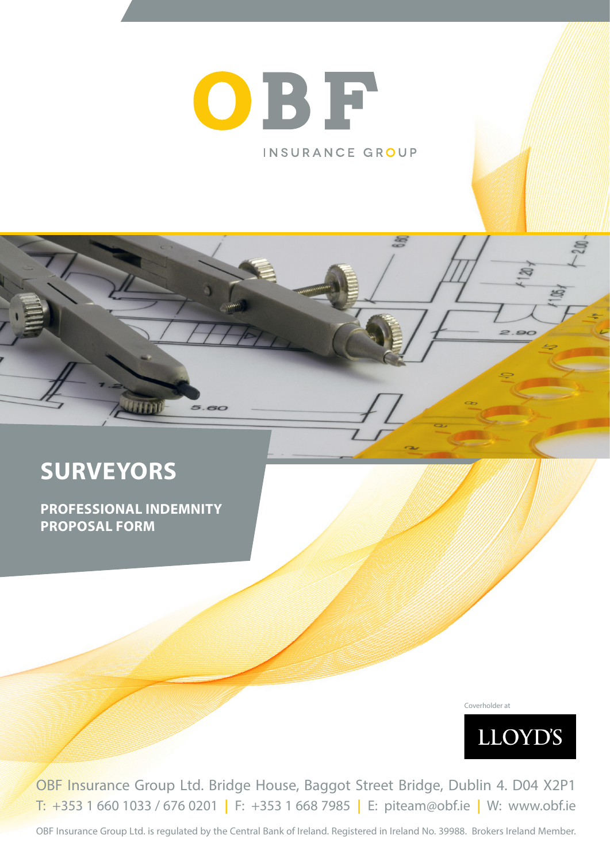# OBF INSURANCE GROUP

# **SURVEYORS**

**PROFESSIONAL INDEMNITY PROPOSAL FORM**

5.60

Coverholder at



OBF Insurance Group Ltd. Bridge House, Baggot Street Bridge, Dublin 4. D04 X2P1 T: +353 1 660 1033 / 676 0201 **|** F: +353 1 668 7985 **|** E: piteam@obf.ie **|** W: www.obf.ie

OBF Insurance Group Ltd. is regulated by the Central Bank of Ireland. Registered in Ireland No. 39988. Brokers Ireland Member.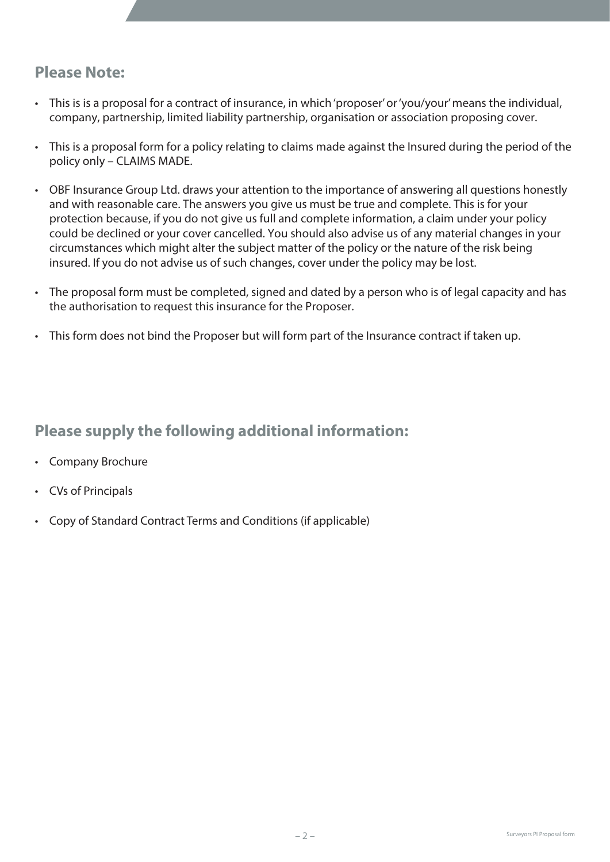# **Please Note:**

- This is is a proposal for a contract of insurance, in which 'proposer' or 'you/your' means the individual, company, partnership, limited liability partnership, organisation or association proposing cover.
- This is a proposal form for a policy relating to claims made against the Insured during the period of the policy only – CLAIMS MADE.
- OBF Insurance Group Ltd. draws your attention to the importance of answering all questions honestly and with reasonable care. The answers you give us must be true and complete. This is for your protection because, if you do not give us full and complete information, a claim under your policy could be declined or your cover cancelled. You should also advise us of any material changes in your circumstances which might alter the subject matter of the policy or the nature of the risk being insured. If you do not advise us of such changes, cover under the policy may be lost.
- The proposal form must be completed, signed and dated by a person who is of legal capacity and has the authorisation to request this insurance for the Proposer.
- This form does not bind the Proposer but will form part of the Insurance contract if taken up.

# **Please supply the following additional information:**

- Company Brochure
- CVs of Principals
- Copy of Standard Contract Terms and Conditions (if applicable)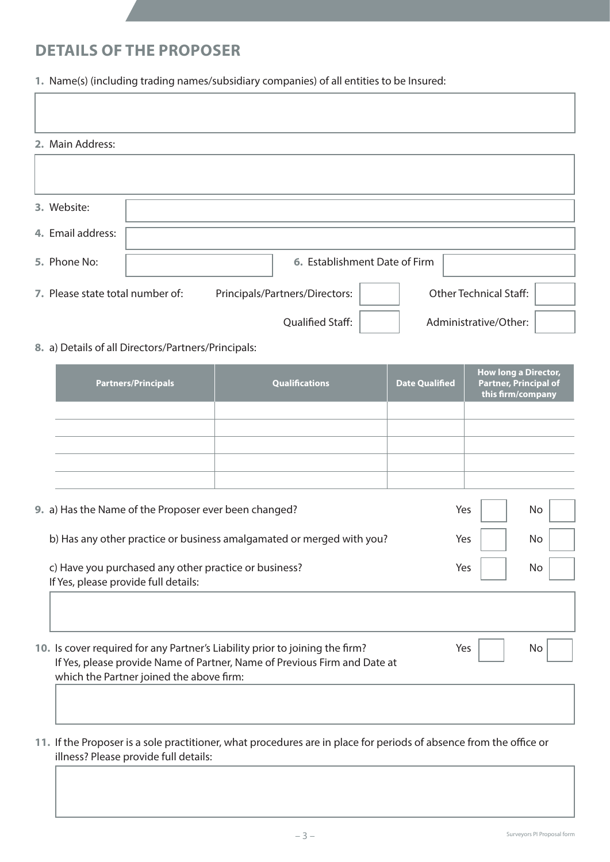# **DETAILS OF THE PROPOSER**

**1.** Name(s) (including trading names/subsidiary companies) of all entities to be Insured:

| 2. Main Address:                 |                                |                               |  |
|----------------------------------|--------------------------------|-------------------------------|--|
|                                  |                                |                               |  |
|                                  |                                |                               |  |
| 3. Website:                      |                                |                               |  |
| 4. Email address:                |                                |                               |  |
| 5. Phone No:                     | 6. Establishment Date of Firm  |                               |  |
| 7. Please state total number of: | Principals/Partners/Directors: | <b>Other Technical Staff:</b> |  |
|                                  | <b>Qualified Staff:</b>        | Administrative/Other:         |  |
|                                  |                                |                               |  |

**8.** a) Details of all Directors/Partners/Principals:

| <b>Partners/Principals</b> | <b>Qualifications</b> | <b>Date Qualified</b> | <b>How long a Director,</b><br><b>Partner, Principal of</b><br>this firm/company |
|----------------------------|-----------------------|-----------------------|----------------------------------------------------------------------------------|
|                            |                       |                       |                                                                                  |
|                            |                       |                       |                                                                                  |
|                            |                       |                       |                                                                                  |
|                            |                       |                       |                                                                                  |
|                            |                       |                       |                                                                                  |

| 9. a) Has the Name of the Proposer ever been changed?                                         | Yes | No. |
|-----------------------------------------------------------------------------------------------|-----|-----|
| b) Has any other practice or business amalgamated or merged with you?                         | Yes | No  |
| c) Have you purchased any other practice or business?<br>If Yes, please provide full details: | Yes |     |
|                                                                                               |     |     |

**10.** Is cover required for any Partner's Liability prior to joining the firm? Yes  $\vert$  \ No If Yes, please provide Name of Partner, Name of Previous Firm and Date at which the Partner joined the above firm:

**11.** If the Proposer is a sole practitioner, what procedures are in place for periods of absence from the office or illness? Please provide full details: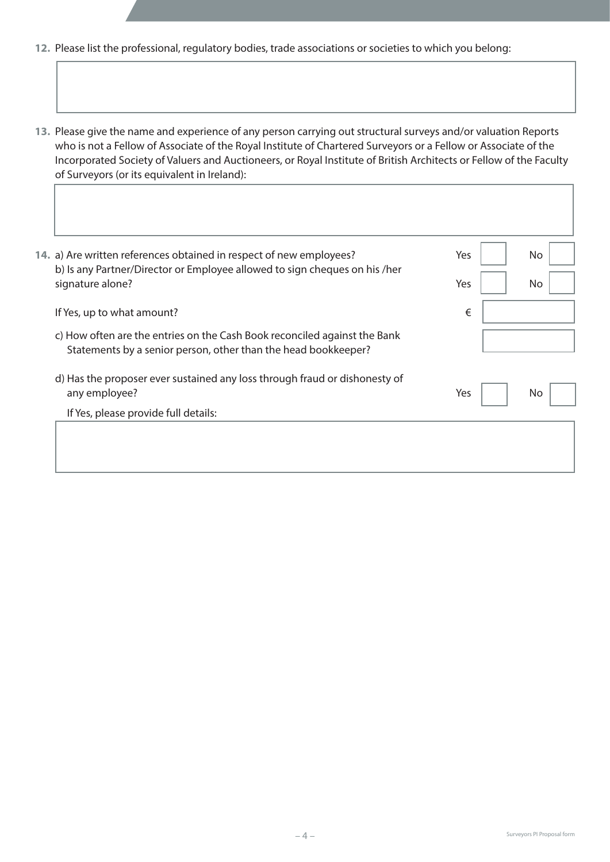- **12.** Please list the professional, regulatory bodies, trade associations or societies to which you belong:
- **13.** Please give the name and experience of any person carrying out structural surveys and/or valuation Reports who is not a Fellow of Associate of the Royal Institute of Chartered Surveyors or a Fellow or Associate of the Incorporated Society of Valuers and Auctioneers, or Royal Institute of British Architects or Fellow of the Faculty of Surveyors (or its equivalent in Ireland):

| 14. a) Are written references obtained in respect of new employees?                                                                         | Yes | No  |
|---------------------------------------------------------------------------------------------------------------------------------------------|-----|-----|
| b) Is any Partner/Director or Employee allowed to sign cheques on his /her<br>signature alone?                                              | Yes | No  |
| If Yes, up to what amount?                                                                                                                  | €   |     |
| c) How often are the entries on the Cash Book reconciled against the Bank<br>Statements by a senior person, other than the head bookkeeper? |     |     |
| d) Has the proposer ever sustained any loss through fraud or dishonesty of<br>any employee?                                                 | Yes | No. |
| If Yes, please provide full details:                                                                                                        |     |     |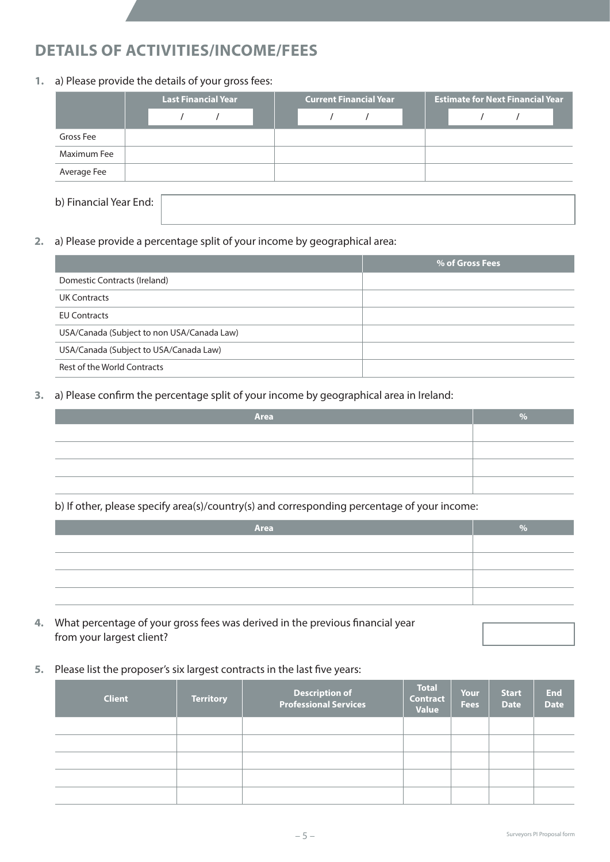# **DETAILS OF ACTIVITIES/INCOME/FEES**

## **1.** a) Please provide the details of your gross fees:

|                        |  | <b>Last Financial Year</b> |  | <b>Current Financial Year</b> |  |  |  |  | <b>Estimate for Next Financial Year</b> |  |
|------------------------|--|----------------------------|--|-------------------------------|--|--|--|--|-----------------------------------------|--|
|                        |  |                            |  |                               |  |  |  |  |                                         |  |
| Gross Fee              |  |                            |  |                               |  |  |  |  |                                         |  |
| Maximum Fee            |  |                            |  |                               |  |  |  |  |                                         |  |
| Average Fee            |  |                            |  |                               |  |  |  |  |                                         |  |
|                        |  |                            |  |                               |  |  |  |  |                                         |  |
| b) Financial Year End: |  |                            |  |                               |  |  |  |  |                                         |  |

**2.** a) Please provide a percentage split of your income by geographical area:

|                                            | % of Gross Fees |
|--------------------------------------------|-----------------|
| Domestic Contracts (Ireland)               |                 |
| <b>UK Contracts</b>                        |                 |
| <b>EU Contracts</b>                        |                 |
| USA/Canada (Subject to non USA/Canada Law) |                 |
| USA/Canada (Subject to USA/Canada Law)     |                 |
| Rest of the World Contracts                |                 |

**3.** a) Please confirm the percentage split of your income by geographical area in Ireland:

| Area | $O/_{\sim}$ |
|------|-------------|
|      |             |
|      |             |
|      |             |
|      |             |

## b) If other, please specify area(s)/country(s) and corresponding percentage of your income:

| Area |  |
|------|--|
|      |  |
|      |  |
|      |  |
|      |  |

- **4.** What percentage of your gross fees was derived in the previous financial year from your largest client?
- **5.** Please list the proposer's six largest contracts in the last five years:

| <b>Client</b> | <b>Territory</b> | Description of<br>Professional Services | <b>Total</b><br><b>Contract</b><br><b>Value</b> | Your<br><b>Fees</b> | <b>Start</b><br><b>Date</b> | <b>End</b><br><b>Date</b> |
|---------------|------------------|-----------------------------------------|-------------------------------------------------|---------------------|-----------------------------|---------------------------|
|               |                  |                                         |                                                 |                     |                             |                           |
|               |                  |                                         |                                                 |                     |                             |                           |
|               |                  |                                         |                                                 |                     |                             |                           |
|               |                  |                                         |                                                 |                     |                             |                           |
|               |                  |                                         |                                                 |                     |                             |                           |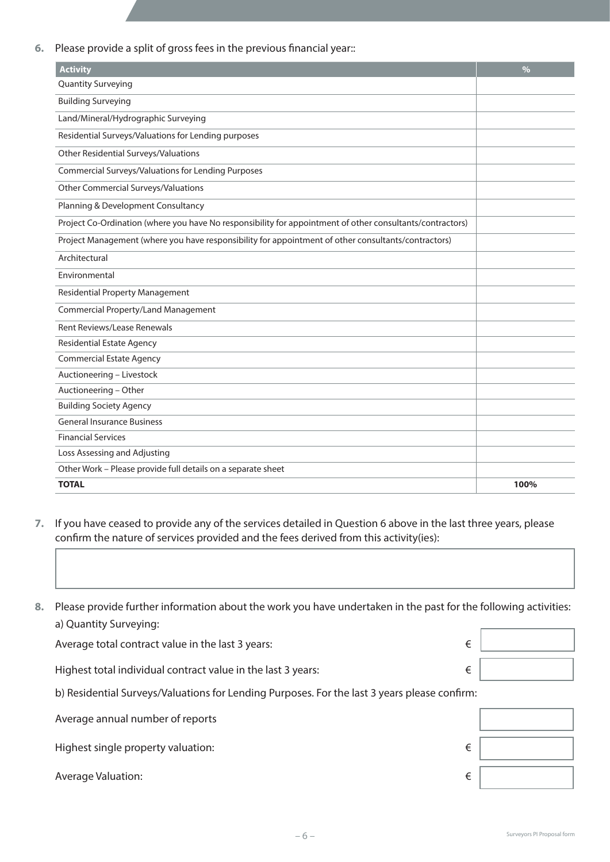**6.** Please provide a split of gross fees in the previous financial year::

| <b>Activity</b>                                                                                           | $\frac{0}{0}$ |
|-----------------------------------------------------------------------------------------------------------|---------------|
| <b>Quantity Surveying</b>                                                                                 |               |
| <b>Building Surveying</b>                                                                                 |               |
| Land/Mineral/Hydrographic Surveying                                                                       |               |
| Residential Surveys/Valuations for Lending purposes                                                       |               |
| Other Residential Surveys/Valuations                                                                      |               |
| Commercial Surveys/Valuations for Lending Purposes                                                        |               |
| <b>Other Commercial Surveys/Valuations</b>                                                                |               |
| Planning & Development Consultancy                                                                        |               |
| Project Co-Ordination (where you have No responsibility for appointment of other consultants/contractors) |               |
| Project Management (where you have responsibility for appointment of other consultants/contractors)       |               |
| Architectural                                                                                             |               |
| Environmental                                                                                             |               |
| <b>Residential Property Management</b>                                                                    |               |
| <b>Commercial Property/Land Management</b>                                                                |               |
| <b>Rent Reviews/Lease Renewals</b>                                                                        |               |
| <b>Residential Estate Agency</b>                                                                          |               |
| <b>Commercial Estate Agency</b>                                                                           |               |
| Auctioneering - Livestock                                                                                 |               |
| Auctioneering - Other                                                                                     |               |
| <b>Building Society Agency</b>                                                                            |               |
| <b>General Insurance Business</b>                                                                         |               |
| <b>Financial Services</b>                                                                                 |               |
| Loss Assessing and Adjusting                                                                              |               |
| Other Work - Please provide full details on a separate sheet                                              |               |
| <b>TOTAL</b>                                                                                              | 100%          |

**7.** If you have ceased to provide any of the services detailed in Question 6 above in the last three years, please confirm the nature of services provided and the fees derived from this activity(ies):

**8.** Please provide further information about the work you have undertaken in the past for the following activities: a) Quantity Surveying:

| Average total contract value in the last 3 years:            |  |
|--------------------------------------------------------------|--|
|                                                              |  |
| Highest total individual contract value in the last 3 years: |  |
|                                                              |  |

b) Residential Surveys/Valuations for Lending Purposes. For the last 3 years please confirm:

| Average annual number of reports   |   |  |
|------------------------------------|---|--|
| Highest single property valuation: | € |  |
| Average Valuation:                 | € |  |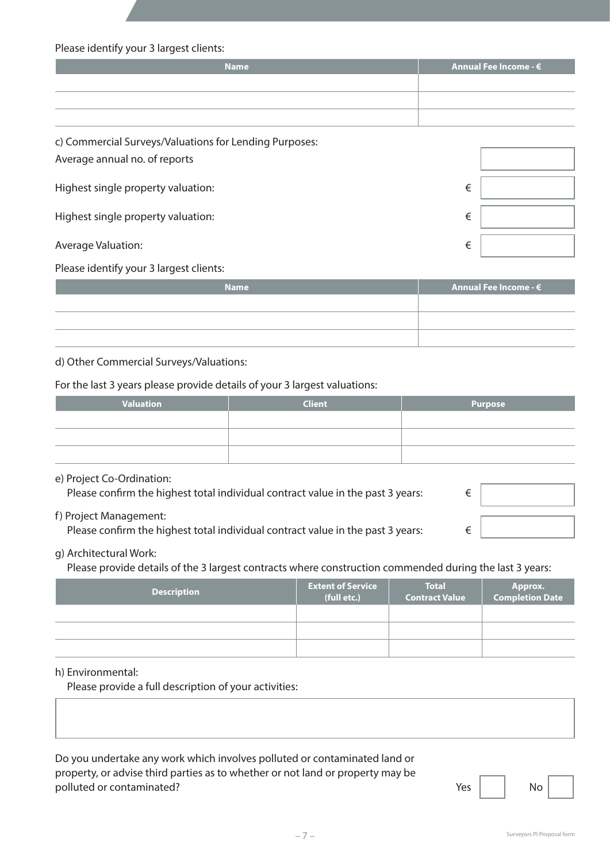Please identify your 3 largest clients:

| <b>Name</b> | Annual Fee Income - $\bm{\epsilon}$ |
|-------------|-------------------------------------|
|             |                                     |
|             |                                     |
|             |                                     |

| c) Commercial Surveys/Valuations for Lending Purposes:<br>Average annual no. of reports |   |
|-----------------------------------------------------------------------------------------|---|
| Highest single property valuation:                                                      | € |
| Highest single property valuation:                                                      | € |
| Average Valuation:                                                                      | € |

Please identify your 3 largest clients:

| <b>Name</b> | Annual Fee Income - $\boldsymbol{\epsilon}$ |
|-------------|---------------------------------------------|
|             |                                             |
|             |                                             |
|             |                                             |

#### d) Other Commercial Surveys/Valuations:

For the last 3 years please provide details of your 3 largest valuations:

| Valuation | <b>Client</b> | <b>Purpose</b> |
|-----------|---------------|----------------|
|           |               |                |
|           |               |                |
|           |               |                |

#### e) Project Co-Ordination:

| Please confirm the highest total individual contract value in the past 3 years: |  |
|---------------------------------------------------------------------------------|--|
| f) Project Management:                                                          |  |
| Please confirm the highest total individual contract value in the past 3 years: |  |

### g) Architectural Work:

Please provide details of the 3 largest contracts where construction commended during the last 3 years:

| <b>Description</b> | <b>Extent of Service</b><br>(full etc.) | <b>Total</b><br><b>Contract Value</b> | Approx.<br>Completion Date |
|--------------------|-----------------------------------------|---------------------------------------|----------------------------|
|                    |                                         |                                       |                            |
|                    |                                         |                                       |                            |
|                    |                                         |                                       |                            |

#### h) Environmental:

Please provide a full description of your activities:

Do you undertake any work which involves polluted or contaminated land or property, or advise third parties as to whether or not land or property may be polluted or contaminated? The set of the set of the set of the set of the set of the set of the set of the set of the set of the set of the set of the set of the set of the set of the set of the set of the set of the set o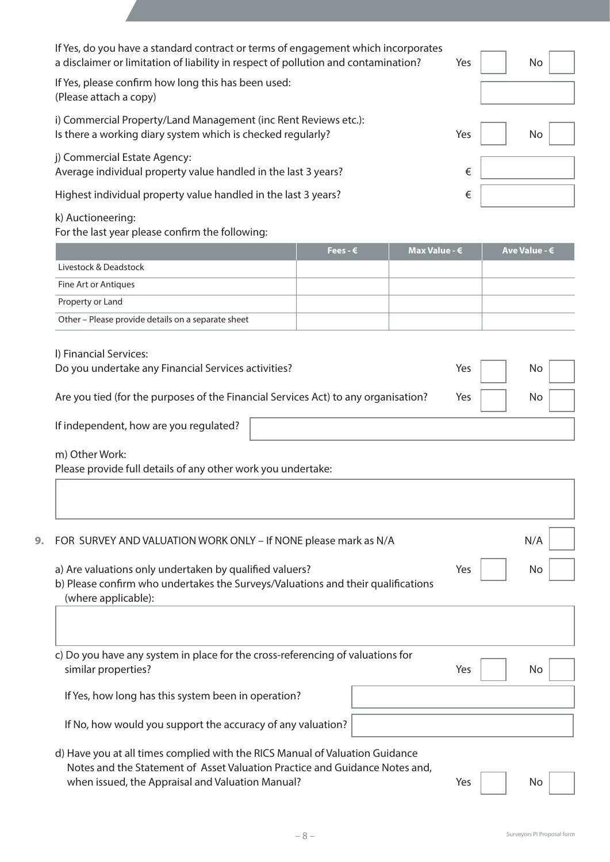| If Yes, do you have a standard contract or terms of engagement which incorporates<br>a disclaimer or limitation of liability in respect of pollution and contamination? | Yes | No. |
|-------------------------------------------------------------------------------------------------------------------------------------------------------------------------|-----|-----|
| If Yes, please confirm how long this has been used:<br>(Please attach a copy)                                                                                           |     |     |
| i) Commercial Property/Land Management (inc Rent Reviews etc.):<br>Is there a working diary system which is checked regularly?                                          | Yes | No  |
| j) Commercial Estate Agency:<br>Average individual property value handled in the last 3 years?                                                                          | €   |     |
| Highest individual property value handled in the last 3 years?                                                                                                          | €   |     |
| k) Auctioneering:                                                                                                                                                       |     |     |

# **Fees - € Max Value - € Ave Value - €** Livestock & Deadstock Fine Art or Antiques Property or Land Other – Please provide details on a separate sheet

| I) Financial Services:<br>Do you undertake any Financial Services activities?      | Yes | No |
|------------------------------------------------------------------------------------|-----|----|
| Are you tied (for the purposes of the Financial Services Act) to any organisation? | Yes | No |
| If independent, how are you regulated?                                             |     |    |

 m) Other Work: 

Please provide full details of any other work you undertake:

 For the last year please confirm the following:

| 9. | FOR SURVEY AND VALUATION WORK ONLY - If NONE please mark as N/A                                                                                                    |     | N/A |
|----|--------------------------------------------------------------------------------------------------------------------------------------------------------------------|-----|-----|
|    | a) Are valuations only undertaken by qualified valuers?<br>b) Please confirm who undertakes the Surveys/Valuations and their qualifications<br>(where applicable): | Yes | No  |
|    |                                                                                                                                                                    |     |     |
|    | c) Do you have any system in place for the cross-referencing of valuations for<br>similar properties?                                                              | Yes | No  |
|    | If Yes, how long has this system been in operation?                                                                                                                |     |     |
|    | If No, how would you support the accuracy of any valuation?                                                                                                        |     |     |
|    | d) Have vou at all times complied with the RICS Manual of Valuation Guidance                                                                                       |     |     |

 d) Have you at all times complied with the RICS Manual of Valuation Guidance Notes and the Statement of Asset Valuation Practice and Guidance Notes and, when issued, the Appraisal and Valuation Manual? The Most Connection of the Vest No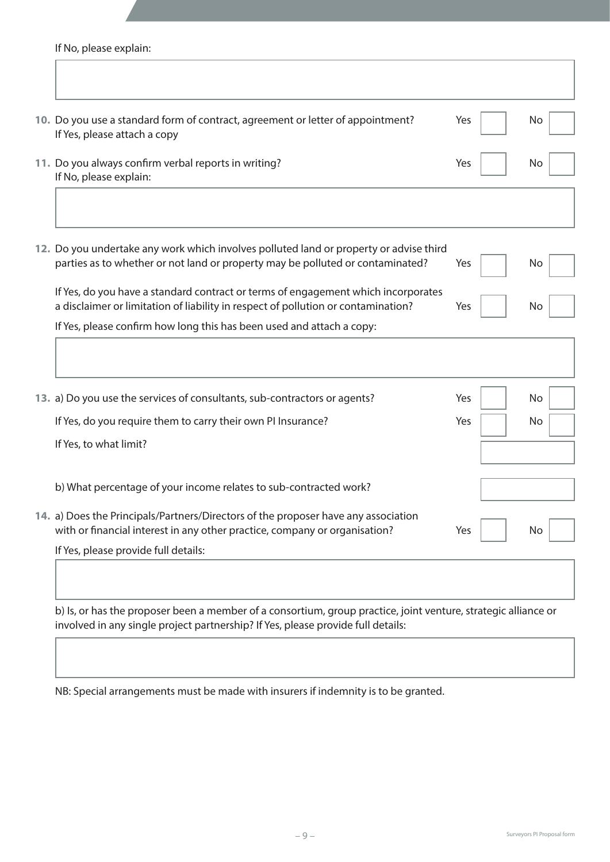If No, please explain:

| 10. Do you use a standard form of contract, agreement or letter of appointment?<br>If Yes, please attach a copy                                                        | Yes | No  |
|------------------------------------------------------------------------------------------------------------------------------------------------------------------------|-----|-----|
| 11. Do you always confirm verbal reports in writing?<br>If No, please explain:                                                                                         | Yes | No  |
| 12. Do you undertake any work which involves polluted land or property or advise third                                                                                 |     |     |
| parties as to whether or not land or property may be polluted or contaminated?                                                                                         | Yes | No. |
| If Yes, do you have a standard contract or terms of engagement which incorporates<br>a disclaimer or limitation of liability in respect of pollution or contamination? | Yes | No. |
| If Yes, please confirm how long this has been used and attach a copy:                                                                                                  |     |     |
|                                                                                                                                                                        |     |     |
| 13. a) Do you use the services of consultants, sub-contractors or agents?                                                                                              | Yes | No  |
| If Yes, do you require them to carry their own PI Insurance?                                                                                                           | Yes | No  |
| If Yes, to what limit?                                                                                                                                                 |     |     |
| b) What percentage of your income relates to sub-contracted work?                                                                                                      |     |     |
| 14. a) Does the Principals/Partners/Directors of the proposer have any association<br>with or financial interest in any other practice, company or organisation?       | Yes | No  |
| If Yes, please provide full details:                                                                                                                                   |     |     |
|                                                                                                                                                                        |     |     |

b) Is, or has the proposer been a member of a consortium, group practice, joint venture, strategic alliance or involved in any single project partnership? If Yes, please provide full details:

NB: Special arrangements must be made with insurers if indemnity is to be granted.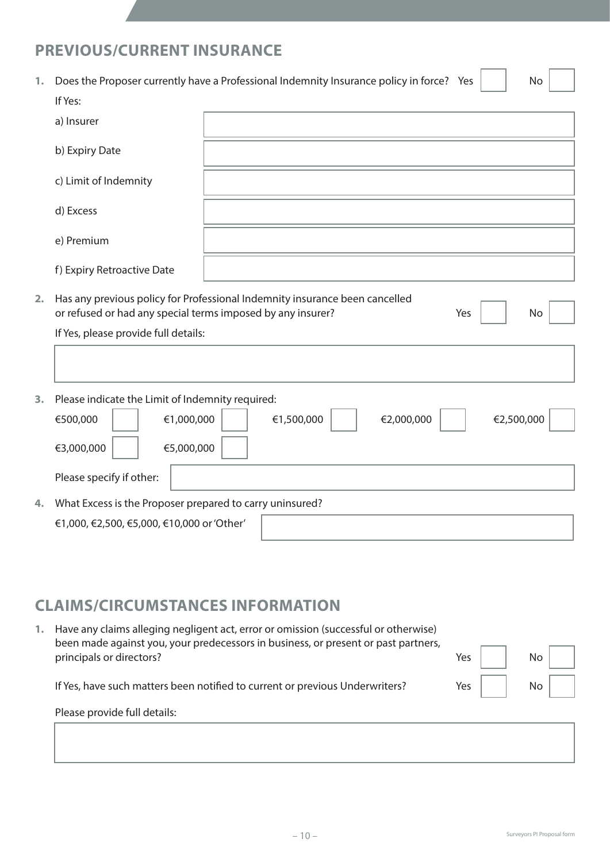# **PREVIOUS/CURRENT INSURANCE**

| 1. | Does the Proposer currently have a Professional Indemnity Insurance policy in force? Yes                                                   |            |            |     |            | No |
|----|--------------------------------------------------------------------------------------------------------------------------------------------|------------|------------|-----|------------|----|
|    | If Yes:                                                                                                                                    |            |            |     |            |    |
|    | a) Insurer                                                                                                                                 |            |            |     |            |    |
|    | b) Expiry Date                                                                                                                             |            |            |     |            |    |
|    | c) Limit of Indemnity                                                                                                                      |            |            |     |            |    |
|    | d) Excess                                                                                                                                  |            |            |     |            |    |
|    | e) Premium                                                                                                                                 |            |            |     |            |    |
|    | f) Expiry Retroactive Date                                                                                                                 |            |            |     |            |    |
| 2. | Has any previous policy for Professional Indemnity insurance been cancelled<br>or refused or had any special terms imposed by any insurer? |            |            | Yes |            | No |
|    | If Yes, please provide full details:                                                                                                       |            |            |     |            |    |
|    |                                                                                                                                            |            |            |     |            |    |
| 3. | Please indicate the Limit of Indemnity required:                                                                                           |            |            |     |            |    |
|    | €1,000,000<br>€500,000                                                                                                                     | €1,500,000 | €2,000,000 |     | €2,500,000 |    |
|    | €3,000,000<br>€5,000,000                                                                                                                   |            |            |     |            |    |
|    | Please specify if other:                                                                                                                   |            |            |     |            |    |
| 4. | What Excess is the Proposer prepared to carry uninsured?                                                                                   |            |            |     |            |    |
|    | €1,000, €2,500, €5,000, €10,000 or 'Other'                                                                                                 |            |            |     |            |    |

# **CLAIMS/CIRCUMSTANCES INFORMATION**

| Have any claims alleging negligent act, error or omission (successful or otherwise)<br>been made against you, your predecessors in business, or present or past partners, |             |                 |  |
|---------------------------------------------------------------------------------------------------------------------------------------------------------------------------|-------------|-----------------|--|
| principals or directors?                                                                                                                                                  | Yes $\vert$ | No <sub>1</sub> |  |
| If Yes, have such matters been notified to current or previous Underwriters?                                                                                              | Yes         | No              |  |
| Please provide full details:                                                                                                                                              |             |                 |  |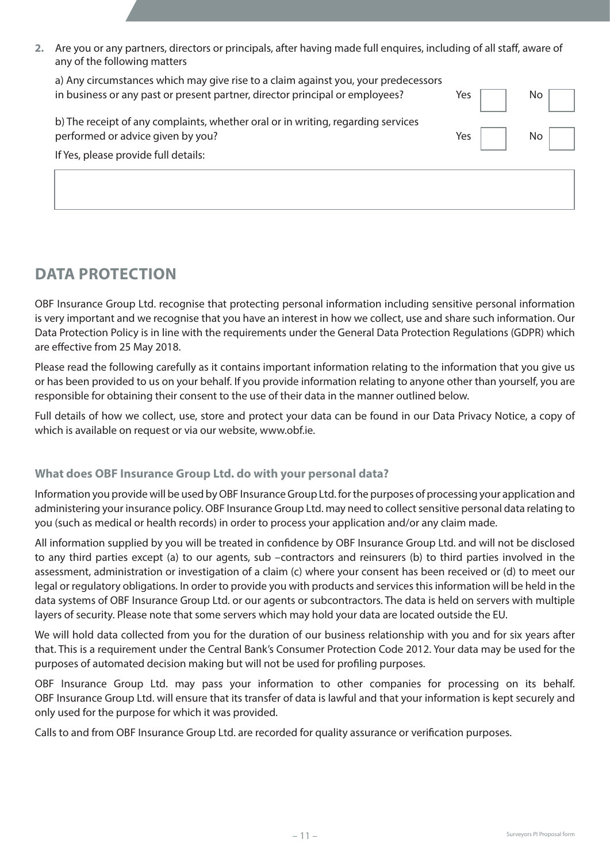**2.** Are you or any partners, directors or principals, after having made full enquires, including of all staff, aware of any of the following matters

| a) Any circumstances which may give rise to a claim against you, your predecessors |     |     |
|------------------------------------------------------------------------------------|-----|-----|
| in business or any past or present partner, director principal or employees?       | Yes | No. |
| b) The receipt of any complaints, whether oral or in writing, regarding services   |     |     |
| performed or advice given by you?                                                  | Yes | No. |
| If Yes, please provide full details:                                               |     |     |
|                                                                                    |     |     |

# **DATA PROTECTION**

OBF Insurance Group Ltd. recognise that protecting personal information including sensitive personal information is very important and we recognise that you have an interest in how we collect, use and share such information. Our Data Protection Policy is in line with the requirements under the General Data Protection Regulations (GDPR) which are effective from 25 May 2018.

Please read the following carefully as it contains important information relating to the information that you give us or has been provided to us on your behalf. If you provide information relating to anyone other than yourself, you are responsible for obtaining their consent to the use of their data in the manner outlined below.

Full details of how we collect, use, store and protect your data can be found in our Data Privacy Notice, a copy of which is available on request or via our website, www.obf.ie.

## **What does OBF Insurance Group Ltd. do with your personal data?**

Information you provide will be used by OBF Insurance Group Ltd. for the purposes of processing your application and administering your insurance policy. OBF Insurance Group Ltd. may need to collect sensitive personal data relating to you (such as medical or health records) in order to process your application and/or any claim made.

All information supplied by you will be treated in confidence by OBF Insurance Group Ltd. and will not be disclosed to any third parties except (a) to our agents, sub –contractors and reinsurers (b) to third parties involved in the assessment, administration or investigation of a claim (c) where your consent has been received or (d) to meet our legal or regulatory obligations. In order to provide you with products and services this information will be held in the data systems of OBF Insurance Group Ltd. or our agents or subcontractors. The data is held on servers with multiple layers of security. Please note that some servers which may hold your data are located outside the EU.

We will hold data collected from you for the duration of our business relationship with you and for six years after that. This is a requirement under the Central Bank's Consumer Protection Code 2012. Your data may be used for the purposes of automated decision making but will not be used for profiling purposes.

OBF Insurance Group Ltd. may pass your information to other companies for processing on its behalf. OBF Insurance Group Ltd. will ensure that its transfer of data is lawful and that your information is kept securely and only used for the purpose for which it was provided.

Calls to and from OBF Insurance Group Ltd. are recorded for quality assurance or verification purposes.